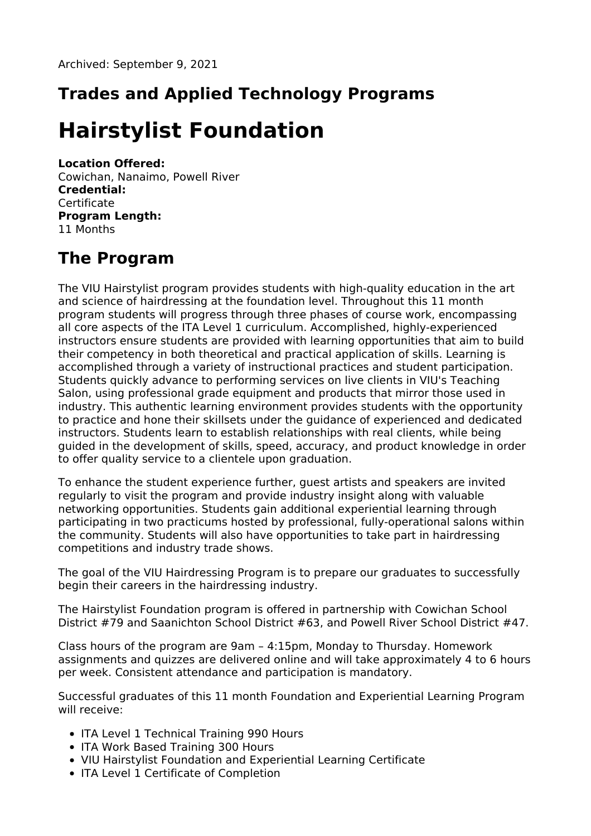# **Trades and Applied Technology Programs**

# **Hairstylist Foundation**

#### **Location Offered:**

Cowichan, Nanaimo, Powell River **Credential: Certificate Program Length:** 11 Months

# **The Program**

The VIU Hairstylist program provides students with high-quality education in the art and science of hairdressing at the foundation level. Throughout this 11 month program students will progress through three phases of course work, encompassing all core aspects of the ITA Level 1 curriculum. Accomplished, highly-experienced instructors ensure students are provided with learning opportunities that aim to build their competency in both theoretical and practical application of skills. Learning is accomplished through a variety of instructional practices and student participation. Students quickly advance to performing services on live clients in VIU's Teaching Salon, using professional grade equipment and products that mirror those used in industry. This authentic learning environment provides students with the opportunity to practice and hone their skillsets under the guidance of experienced and dedicated instructors. Students learn to establish relationships with real clients, while being guided in the development of skills, speed, accuracy, and product knowledge in order to offer quality service to a clientele upon graduation.

To enhance the student experience further, guest artists and speakers are invited regularly to visit the program and provide industry insight along with valuable networking opportunities. Students gain additional experiential learning through participating in two practicums hosted by professional, fully-operational salons within the community. Students will also have opportunities to take part in hairdressing competitions and industry trade shows.

The goal of the VIU Hairdressing Program is to prepare our graduates to successfully begin their careers in the hairdressing industry.

The Hairstylist Foundation program is offered in partnership with Cowichan School District #79 and Saanichton School District #63, and Powell River School District #47.

Class hours of the program are 9am – 4:15pm, Monday to Thursday. Homework assignments and quizzes are delivered online and will take approximately 4 to 6 hours per week. Consistent attendance and participation is mandatory.

Successful graduates of this 11 month Foundation and Experiential Learning Program will receive:

- ITA Level 1 Technical Training 990 Hours
- ITA Work Based Training 300 Hours
- VIU Hairstylist Foundation and Experiential Learning Certificate
- ITA Level 1 Certificate of Completion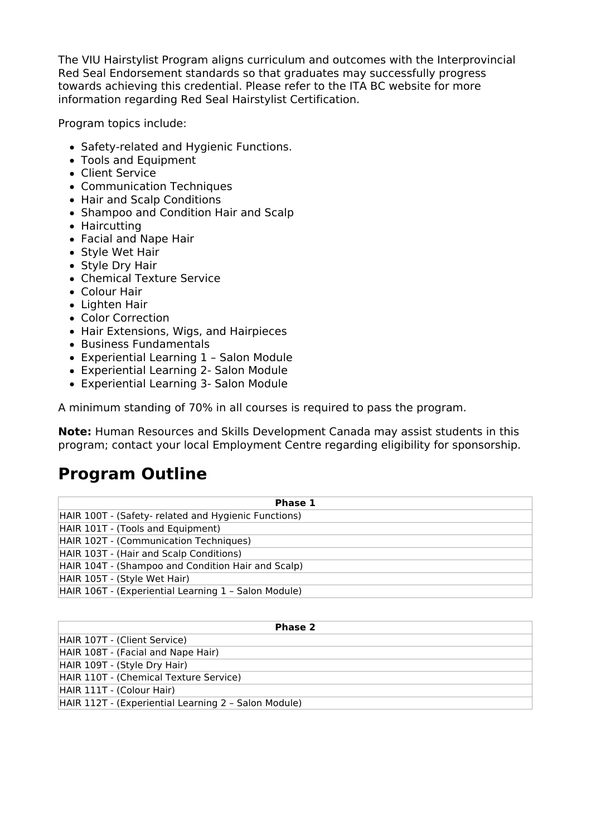The VIU Hairstylist Program aligns curriculum and outcomes with the Interprovincial Red Seal Endorsement standards so that graduates may successfully progress towards achieving this credential. Please refer to the ITA BC website for more information regarding Red Seal Hairstylist Certification.

Program topics include:

- Safety-related and Hygienic Functions.
- Tools and Equipment
- Client Service
- Communication Techniques
- Hair and Scalp Conditions
- Shampoo and Condition Hair and Scalp
- Haircutting
- Facial and Nape Hair
- Style Wet Hair
- Style Dry Hair
- Chemical Texture Service
- Colour Hair
- Lighten Hair
- Color Correction
- Hair Extensions, Wigs, and Hairpieces
- Business Fundamentals
- Experiential Learning 1 Salon Module
- Experiential Learning 2- Salon Module
- Experiential Learning 3- Salon Module

A minimum standing of 70% in all courses is required to pass the program.

**Note:** Human Resources and Skills Development Canada may assist students in this program; contact your local Employment Centre regarding eligibility for sponsorship.

### **Program Outline**

| Phase 1                                              |
|------------------------------------------------------|
| HAIR 100T - (Safety- related and Hygienic Functions) |
| HAIR 101T - (Tools and Equipment)                    |
| HAIR 102T - (Communication Techniques)               |
| HAIR 103T - (Hair and Scalp Conditions)              |
| HAIR 104T - (Shampoo and Condition Hair and Scalp)   |
| HAIR 105T - (Style Wet Hair)                         |
| HAIR 106T - (Experiential Learning 1 - Salon Module) |

| Phase 2                                              |
|------------------------------------------------------|
| HAIR 107T - (Client Service)                         |
| HAIR 108T - (Facial and Nape Hair)                   |
| HAIR 109T - (Style Dry Hair)                         |
| HAIR 110T - (Chemical Texture Service)               |
| HAIR 111T - (Colour Hair)                            |
| HAIR 112T - (Experiential Learning 2 - Salon Module) |